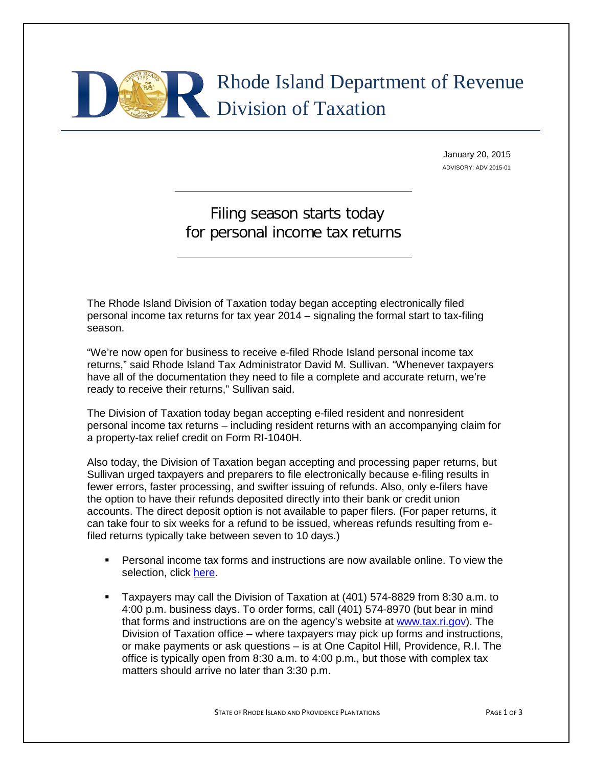# Rhode Island Department of Revenue Division of Taxation

January 20, 2015 ADVISORY: ADV 2015-01

# Filing season starts today for personal income tax returns

The Rhode Island Division of Taxation today began accepting electronically filed personal income tax returns for tax year 2014 – signaling the formal start to tax-filing season.

"We're now open for business to receive e-filed Rhode Island personal income tax returns," said Rhode Island Tax Administrator David M. Sullivan. "Whenever taxpayers have all of the documentation they need to file a complete and accurate return, we're ready to receive their returns," Sullivan said.

The Division of Taxation today began accepting e-filed resident and nonresident personal income tax returns – including resident returns with an accompanying claim for a property-tax relief credit on Form RI-1040H.

Also today, the Division of Taxation began accepting and processing paper returns, but Sullivan urged taxpayers and preparers to file electronically because e-filing results in fewer errors, faster processing, and swifter issuing of refunds. Also, only e-filers have the option to have their refunds deposited directly into their bank or credit union accounts. The direct deposit option is not available to paper filers. (For paper returns, it can take four to six weeks for a refund to be issued, whereas refunds resulting from efiled returns typically take between seven to 10 days.)

- Personal income tax forms and instructions are now available online. To view the selection, click [here.](http://www.tax.ri.gov/taxforms/personal.php)
- Taxpayers may call the Division of Taxation at (401) 574-8829 from 8:30 a.m. to 4:00 p.m. business days. To order forms, call (401) 574-8970 (but bear in mind that forms and instructions are on the agency's website at [www.tax.ri.gov\)](http://www.tax.ri.gov/). The Division of Taxation office – where taxpayers may pick up forms and instructions, or make payments or ask questions – is at One Capitol Hill, Providence, R.I. The office is typically open from 8:30 a.m. to 4:00 p.m., but those with complex tax matters should arrive no later than 3:30 p.m.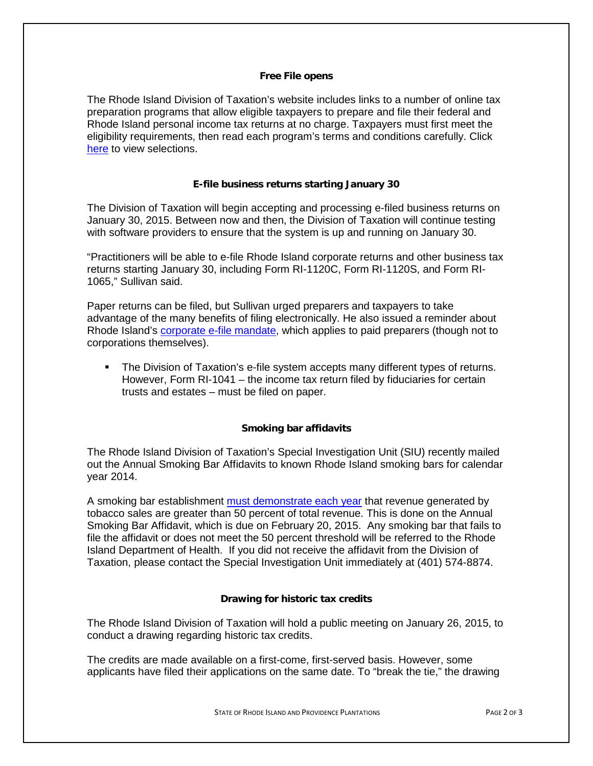## **Free File opens**

The Rhode Island Division of Taxation's website includes links to a number of online tax preparation programs that allow eligible taxpayers to prepare and file their federal and Rhode Island personal income tax returns at no charge. Taxpayers must first meet the eligibility requirements, then read each program's terms and conditions carefully. Click [here](http://www.tax.ri.gov/misc/efile.php) to view selections.

# **E-file business returns starting January 30**

The Division of Taxation will begin accepting and processing e-filed business returns on January 30, 2015. Between now and then, the Division of Taxation will continue testing with software providers to ensure that the system is up and running on January 30.

"Practitioners will be able to e-file Rhode Island corporate returns and other business tax returns starting January 30, including Form RI-1120C, Form RI-1120S, and Form RI-1065," Sullivan said.

Paper returns can be filed, but Sullivan urged preparers and taxpayers to take advantage of the many benefits of filing electronically. He also issued a reminder about Rhode Island's [corporate e-file mandate,](http://www.tax.ri.gov/Advisory/ADV%202012-16.pdf) which applies to paid preparers (though not to corporations themselves).

 The Division of Taxation's e-file system accepts many different types of returns. However, Form RI-1041 – the income tax return filed by fiduciaries for certain trusts and estates – must be filed on paper.

## **Smoking bar affidavits**

The Rhode Island Division of Taxation's Special Investigation Unit (SIU) recently mailed out the Annual Smoking Bar Affidavits to known Rhode Island smoking bars for calendar year 2014.

A smoking bar establishment [must demonstrate each year](http://webserver.rilin.state.ri.us/Statutes/TITLE23/23-20.10/23-20.10-2.HTM) that revenue generated by tobacco sales are greater than 50 percent of total revenue. This is done on the Annual Smoking Bar Affidavit, which is due on February 20, 2015. Any smoking bar that fails to file the affidavit or does not meet the 50 percent threshold will be referred to the Rhode Island Department of Health. If you did not receive the affidavit from the Division of Taxation, please contact the Special Investigation Unit immediately at (401) 574-8874.

## **Drawing for historic tax credits**

The Rhode Island Division of Taxation will hold a public meeting on January 26, 2015, to conduct a drawing regarding historic tax credits.

The credits are made available on a first-come, first-served basis. However, some applicants have filed their applications on the same date. To "break the tie," the drawing